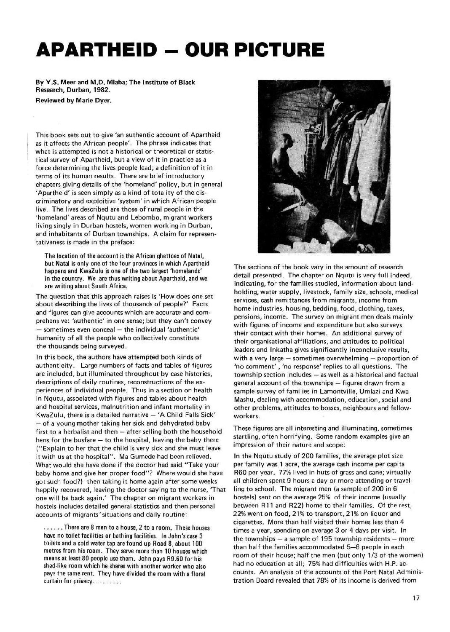## **APARTHEID - OUR PICTURE**

**By Y.S. Meer and M.D. Mlaba; The Institute of Black Research, Durban, 1982.** 

**Reviewed by Marie Dyer.** 

This book sets out to give 'an authentic account of Apartheid as it affects the African people'. The phrase indicates that what is attempted is not a historical or theoretical or statistical survey of Apartheid, but a view of it in practice as a force determining the lives people lead; a definition of it in terms of its human results. There are brief introductory chapters giving details of the 'homeland' policy, but in general 'Apartheid' is seen simply as a kind of totality of the discriminatory and exploitive 'system' in which African people live. The lives described are those of rural people in the 'homeland' areas of Nqutu and Lebombo, migrant workers living singly in Durban hostels, women working in Durban, and inhabitants of Durban townships. A claim for representativeness is made in the preface:

The location of the account is the African ghettoes of Natal, but Natal is only one of the four provinces in which Apartheid happens and KwaZulu is one of the two largest 'homelands' in the country. We are thus writing about Apartheid, and we are writing about South Africa.

The question that this approach raises is 'How does one set about **describing** the lives of thousands of people?' Facts and figures can give accounts which are accurate and comprehensive: 'authentic' in one sense; but they can't convey — sometimes even conceal — the individual 'authentic' humanity of all the people who collectively constitute the thousands being surveyed.

In this book, the authors have attempted both kinds of authenticity. Large numbers of facts and tables of figures are included, but illuminated throughout by case histories, descriptions of daily routines, reconstructions of the experiences of individual people. Thus in a section on health in Nqutu, associated with figures and tables about health and hospital services, malnutrition and infant mortality in KwaZulu, there is a detailed narrative — 'A Child Falls Sick' — of a young mother taking her sick and dehydrated baby first to a herbalist and then — after selling both the household hens for the busfare — to the hospital, leaving the baby there ("Explain to her that the child is very sick and she must leave it with us at the hospital". Ma Gumede had been relieved. What would she have done if the doctor had said "Take your baby home and give her proper food"? Where would she have got such food?) then taking it home again after some weeks happily recovered, leaving the doctor saying to the nurse, 'That one will be back again.' The chapter on migrant workers in hostels includes detailed general statistics and then personal accounts of migrants'situations and daily routine:

...... There are 8 men to a house, 2 to a room. These houses have no toilet facilities or bathing facilities. In John's case 3 toilets and a cold water tap are found up Road 8, about 100 metres from his room. They serve more than 10 houses which means at least 80 people use them. John pays R9.60 for his shed-like room which he shares with another worker who also pays the same rent. They have divided the room with a floral curtain for privacy



The sections of the book vary in the amount of research detail presented. The chapter on Nqutu is very full indeed, indicating, for the families studied, information about landholding, water supply, livestock, family size, schools, medical services, cash remittances from migrants, income from home industries, housing, bedding, food, clothing, taxes, pensions, income. The survey on migrant men deals mainly with figures of income and expenditure but also surveys their contact with their homes. An additional survey of their organisational affiliations, and attitudes to political leaders and Inkatha gives significantly inconclusive results, with a very large — sometimes overwhelming — proportion of 'no comment' , 'no response' replies to all questions. The township section includes — as well as a historical and factual general account of the townships — figures drawn from a sample survey of families in Lamontville, Umlazi and Kwa Mashu, dealing with accommodation, education, social and other problems, attitudes to bosses, neighbours and fellowworkers.

These figures are all interesting and illuminating, sometimes startling, often horrifying. Some random examples give an impression of their nature and scope:

In the Nqutu study of 200 families, the average plot size per family was 1 acre, the average cash income per capita R60 per year. 77% lived in huts of grass and cane; virtually all children spent 9 hours a day or more attending or travelling to school. The migrant men (a sample of 200 in 6 hostels) sent on the average 25% of their income (usually between R11 and R22) home to their families. Of the rest, 22% went on food, 21% to transport, 21% on liquor and cigarettes. More than half visited their homes less than 4 times a year, spending on average 3 or 4 days per visit. In the townships — a sample of 195 township residents — more than half the families accommodated 5—6 people in each room of their house; half the men (but only 1/3 of the women) had no education at all; 75% had difficulties with H.P. accounts. An analysis of the accounts of the Port Natal Administration Board revealed that 78% of its income is derived from